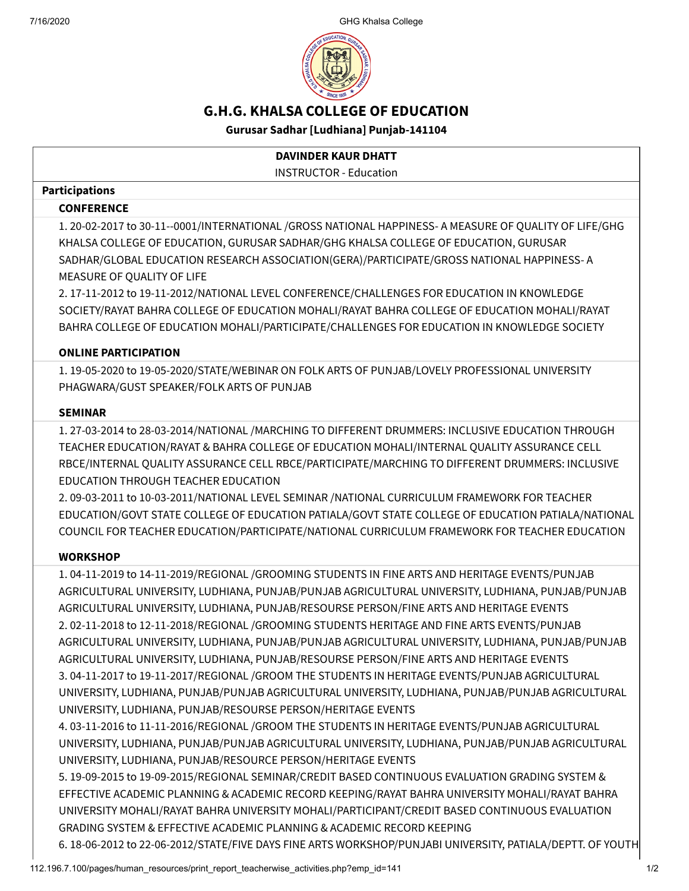7/16/2020 GHG Khalsa College



# G.H.G. KHALSA COLLEGE OF EDUCATION

Gurusar Sadhar [Ludhiana] Punjab-141104

## DAVINDER KAUR DHATT

INSTRUCTOR - Education

#### Participations

#### **CONFERENCE**

1. 20-02-2017 to 30-11--0001/INTERNATIONAL /GROSS NATIONAL HAPPINESS- A MEASURE OF QUALITY OF LIFE/GHG KHALSA COLLEGE OF EDUCATION, GURUSAR SADHAR/GHG KHALSA COLLEGE OF EDUCATION, GURUSAR SADHAR/GLOBAL EDUCATION RESEARCH ASSOCIATION(GERA)/PARTICIPATE/GROSS NATIONAL HAPPINESS- A MEASURE OF QUALITY OF LIFE

2. 17-11-2012 to 19-11-2012/NATIONAL LEVEL CONFERENCE/CHALLENGES FOR EDUCATION IN KNOWLEDGE SOCIETY/RAYAT BAHRA COLLEGE OF EDUCATION MOHALI/RAYAT BAHRA COLLEGE OF EDUCATION MOHALI/RAYAT BAHRA COLLEGE OF EDUCATION MOHALI/PARTICIPATE/CHALLENGES FOR EDUCATION IN KNOWLEDGE SOCIETY

### ONLINE PARTICIPATION

1. 19-05-2020 to 19-05-2020/STATE/WEBINAR ON FOLK ARTS OF PUNJAB/LOVELY PROFESSIONAL UNIVERSITY PHAGWARA/GUST SPEAKER/FOLK ARTS OF PUNJAB

#### SEMINAR

1. 27-03-2014 to 28-03-2014/NATIONAL /MARCHING TO DIFFERENT DRUMMERS: INCLUSIVE EDUCATION THROUGH TEACHER EDUCATION/RAYAT & BAHRA COLLEGE OF EDUCATION MOHALI/INTERNAL QUALITY ASSURANCE CELL RBCE/INTERNAL QUALITY ASSURANCE CELL RBCE/PARTICIPATE/MARCHING TO DIFFERENT DRUMMERS: INCLUSIVE EDUCATION THROUGH TEACHER EDUCATION

2. 09-03-2011 to 10-03-2011/NATIONAL LEVEL SEMINAR /NATIONAL CURRICULUM FRAMEWORK FOR TEACHER EDUCATION/GOVT STATE COLLEGE OF EDUCATION PATIALA/GOVT STATE COLLEGE OF EDUCATION PATIALA/NATIONAL COUNCIL FOR TEACHER EDUCATION/PARTICIPATE/NATIONAL CURRICULUM FRAMEWORK FOR TEACHER EDUCATION

### **WORKSHOP**

1. 04-11-2019 to 14-11-2019/REGIONAL /GROOMING STUDENTS IN FINE ARTS AND HERITAGE EVENTS/PUNJAB AGRICULTURAL UNIVERSITY, LUDHIANA, PUNJAB/PUNJAB AGRICULTURAL UNIVERSITY, LUDHIANA, PUNJAB/PUNJAB AGRICULTURAL UNIVERSITY, LUDHIANA, PUNJAB/RESOURSE PERSON/FINE ARTS AND HERITAGE EVENTS 2. 02-11-2018 to 12-11-2018/REGIONAL /GROOMING STUDENTS HERITAGE AND FINE ARTS EVENTS/PUNJAB AGRICULTURAL UNIVERSITY, LUDHIANA, PUNJAB/PUNJAB AGRICULTURAL UNIVERSITY, LUDHIANA, PUNJAB/PUNJAB AGRICULTURAL UNIVERSITY, LUDHIANA, PUNJAB/RESOURSE PERSON/FINE ARTS AND HERITAGE EVENTS 3. 04-11-2017 to 19-11-2017/REGIONAL /GROOM THE STUDENTS IN HERITAGE EVENTS/PUNJAB AGRICULTURAL UNIVERSITY, LUDHIANA, PUNJAB/PUNJAB AGRICULTURAL UNIVERSITY, LUDHIANA, PUNJAB/PUNJAB AGRICULTURAL UNIVERSITY, LUDHIANA, PUNJAB/RESOURSE PERSON/HERITAGE EVENTS

4. 03-11-2016 to 11-11-2016/REGIONAL /GROOM THE STUDENTS IN HERITAGE EVENTS/PUNJAB AGRICULTURAL UNIVERSITY, LUDHIANA, PUNJAB/PUNJAB AGRICULTURAL UNIVERSITY, LUDHIANA, PUNJAB/PUNJAB AGRICULTURAL UNIVERSITY, LUDHIANA, PUNJAB/RESOURCE PERSON/HERITAGE EVENTS

5. 19-09-2015 to 19-09-2015/REGIONAL SEMINAR/CREDIT BASED CONTINUOUS EVALUATION GRADING SYSTEM & EFFECTIVE ACADEMIC PLANNING & ACADEMIC RECORD KEEPING/RAYAT BAHRA UNIVERSITY MOHALI/RAYAT BAHRA UNIVERSITY MOHALI/RAYAT BAHRA UNIVERSITY MOHALI/PARTICIPANT/CREDIT BASED CONTINUOUS EVALUATION GRADING SYSTEM & EFFECTIVE ACADEMIC PLANNING & ACADEMIC RECORD KEEPING

6. 18-06-2012 to 22-06-2012/STATE/FIVE DAYS FINE ARTS WORKSHOP/PUNJABI UNIVERSITY, PATIALA/DEPTT. OF YOUTH